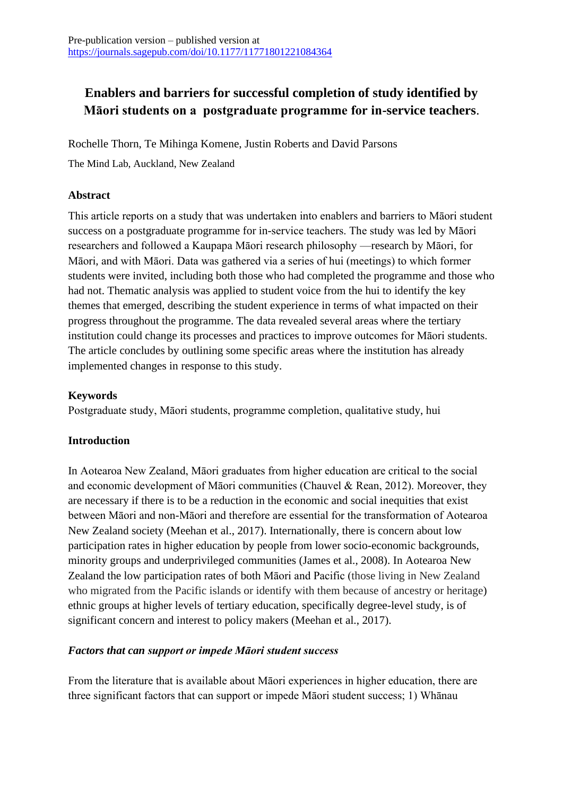# **Enablers and barriers for successful completion of study identified by Māori students on a postgraduate programme for in-service teachers**.

Rochelle Thorn, Te Mihinga Komene, Justin Roberts and David Parsons

The Mind Lab, Auckland, New Zealand

#### **Abstract**

This article reports on a study that was undertaken into enablers and barriers to Māori student success on a postgraduate programme for in-service teachers. The study was led by Māori researchers and followed a Kaupapa Māori research philosophy —research by Māori, for Māori, and with Māori. Data was gathered via a series of hui (meetings) to which former students were invited, including both those who had completed the programme and those who had not. Thematic analysis was applied to student voice from the hui to identify the key themes that emerged, describing the student experience in terms of what impacted on their progress throughout the programme. The data revealed several areas where the tertiary institution could change its processes and practices to improve outcomes for Māori students. The article concludes by outlining some specific areas where the institution has already implemented changes in response to this study.

### **Keywords**

Postgraduate study, Māori students, programme completion, qualitative study, hui

### **Introduction**

In Aotearoa New Zealand, Māori graduates from higher education are critical to the social and economic development of Māori communities (Chauvel & Rean, 2012). Moreover, they are necessary if there is to be a reduction in the economic and social inequities that exist between Māori and non-Māori and therefore are essential for the transformation of Aotearoa New Zealand society (Meehan et al., 2017). Internationally, there is concern about low participation rates in higher education by people from lower socio-economic backgrounds, minority groups and underprivileged communities (James et al., 2008). In Aotearoa New Zealand the low participation rates of both Māori and Pacific (those living in New Zealand who migrated from the Pacific islands or identify with them because of ancestry or heritage) ethnic groups at higher levels of tertiary education, specifically degree-level study, is of significant concern and interest to policy makers (Meehan et al., 2017).

### *Factors that can support or impede Māori student success*

From the literature that is available about Māori experiences in higher education, there are three significant factors that can support or impede Māori student success; 1) Whānau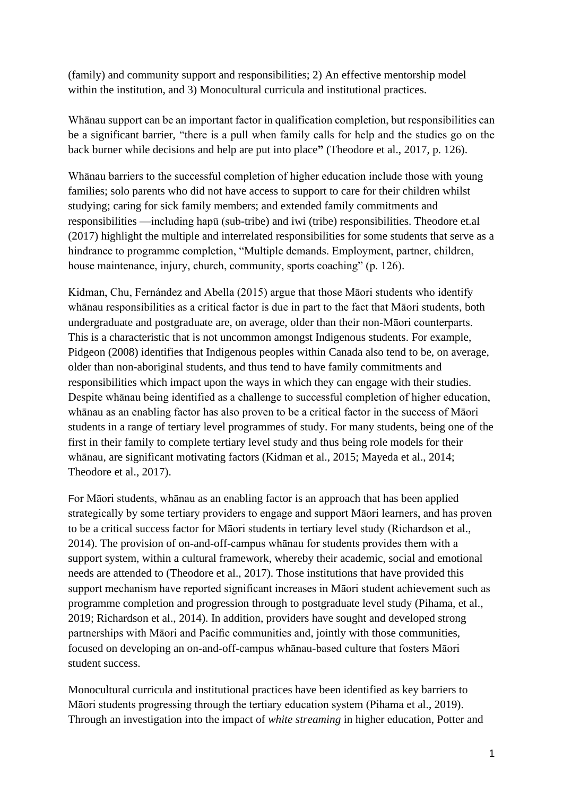(family) and community support and responsibilities; 2) An effective mentorship model within the institution, and 3) Monocultural curricula and institutional practices.

Whānau support can be an important factor in qualification completion, but responsibilities can be a significant barrier, "there is a pull when family calls for help and the studies go on the back burner while decisions and help are put into place**"** (Theodore et al., 2017, p. 126).

Whānau barriers to the successful completion of higher education include those with young families; solo parents who did not have access to support to care for their children whilst studying; caring for sick family members; and extended family commitments and responsibilities —including hapū (sub-tribe) and iwi (tribe) responsibilities. Theodore et.al (2017) highlight the multiple and interrelated responsibilities for some students that serve as a hindrance to programme completion, "Multiple demands. Employment, partner, children, house maintenance, injury, church, community, sports coaching" (p. 126).

Kidman, Chu, Fernández and Abella (2015) argue that those Māori students who identify whānau responsibilities as a critical factor is due in part to the fact that Māori students, both undergraduate and postgraduate are, on average, older than their non-Māori counterparts. This is a characteristic that is not uncommon amongst Indigenous students. For example, Pidgeon (2008) identifies that Indigenous peoples within Canada also tend to be, on average, older than non-aboriginal students, and thus tend to have family commitments and responsibilities which impact upon the ways in which they can engage with their studies. Despite whānau being identified as a challenge to successful completion of higher education, whānau as an enabling factor has also proven to be a critical factor in the success of Māori students in a range of tertiary level programmes of study. For many students, being one of the first in their family to complete tertiary level study and thus being role models for their whānau, are significant motivating factors (Kidman et al., 2015; Mayeda et al., 2014; Theodore et al., 2017).

For Māori students, whānau as an enabling factor is an approach that has been applied strategically by some tertiary providers to engage and support Māori learners, and has proven to be a critical success factor for Māori students in tertiary level study (Richardson et al., 2014). The provision of on-and-off-campus whānau for students provides them with a support system, within a cultural framework, whereby their academic, social and emotional needs are attended to (Theodore et al., 2017). Those institutions that have provided this support mechanism have reported significant increases in Māori student achievement such as programme completion and progression through to postgraduate level study (Pihama, et al., 2019; Richardson et al., 2014). In addition, providers have sought and developed strong partnerships with Māori and Pacific communities and, jointly with those communities, focused on developing an on-and-off-campus whānau-based culture that fosters Māori student success.

Monocultural curricula and institutional practices have been identified as key barriers to Māori students progressing through the tertiary education system (Pihama et al., 2019). Through an investigation into the impact of *white streaming* in higher education, Potter and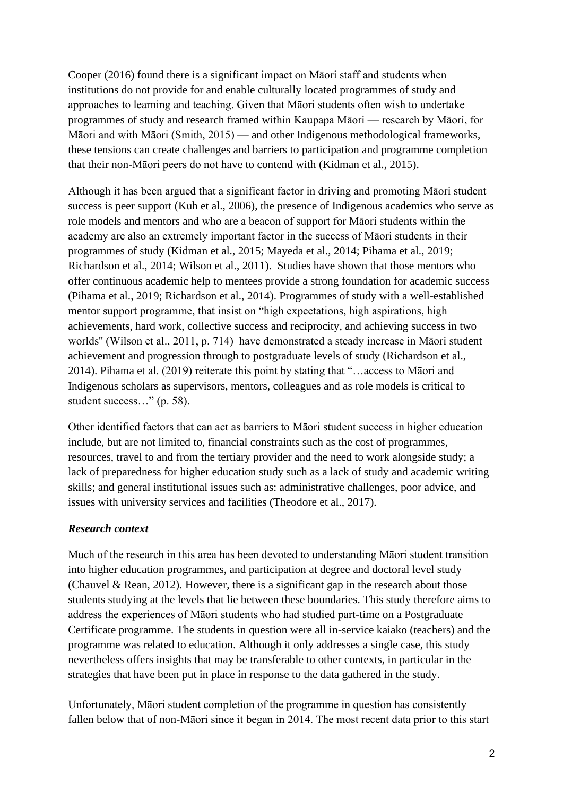Cooper (2016) found there is a significant impact on Māori staff and students when institutions do not provide for and enable culturally located programmes of study and approaches to learning and teaching. Given that Māori students often wish to undertake programmes of study and research framed within Kaupapa Māori — research by Māori, for Māori and with Māori (Smith, 2015) — and other Indigenous methodological frameworks, these tensions can create challenges and barriers to participation and programme completion that their non-Māori peers do not have to contend with (Kidman et al., 2015).

Although it has been argued that a significant factor in driving and promoting Māori student success is peer support (Kuh et al., 2006), the presence of Indigenous academics who serve as role models and mentors and who are a beacon of support for Māori students within the academy are also an extremely important factor in the success of Māori students in their programmes of study (Kidman et al., 2015; Mayeda et al., 2014; Pihama et al., 2019; Richardson et al., 2014; Wilson et al., 2011). Studies have shown that those mentors who offer continuous academic help to mentees provide a strong foundation for academic success (Pihama et al., 2019; Richardson et al., 2014). Programmes of study with a well-established mentor support programme, that insist on "high expectations, high aspirations, high achievements, hard work, collective success and reciprocity, and achieving success in two worlds'' (Wilson et al., 2011, p. 714) have demonstrated a steady increase in Māori student achievement and progression through to postgraduate levels of study (Richardson et al., 2014). Pihama et al. (2019) reiterate this point by stating that "…access to Māori and Indigenous scholars as supervisors, mentors, colleagues and as role models is critical to student success…" (p. 58).

Other identified factors that can act as barriers to Māori student success in higher education include, but are not limited to, financial constraints such as the cost of programmes, resources, travel to and from the tertiary provider and the need to work alongside study; a lack of preparedness for higher education study such as a lack of study and academic writing skills; and general institutional issues such as: administrative challenges, poor advice, and issues with university services and facilities (Theodore et al., 2017).

### *Research context*

Much of the research in this area has been devoted to understanding Māori student transition into higher education programmes, and participation at degree and doctoral level study (Chauvel & Rean, 2012). However, there is a significant gap in the research about those students studying at the levels that lie between these boundaries. This study therefore aims to address the experiences of Māori students who had studied part-time on a Postgraduate Certificate programme. The students in question were all in-service kaiako (teachers) and the programme was related to education. Although it only addresses a single case, this study nevertheless offers insights that may be transferable to other contexts, in particular in the strategies that have been put in place in response to the data gathered in the study.

Unfortunately, Māori student completion of the programme in question has consistently fallen below that of non-Māori since it began in 2014. The most recent data prior to this start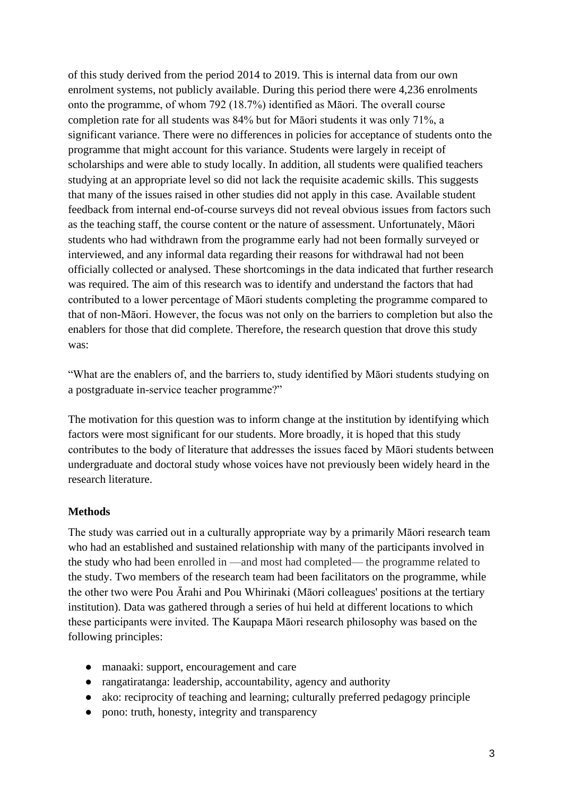of this study derived from the period 2014 to 2019. This is internal data from our own enrolment systems, not publicly available. During this period there were 4,236 enrolments onto the programme, of whom 792 (18.7%) identified as Māori. The overall course completion rate for all students was 84% but for Māori students it was only 71%, a significant variance. There were no differences in policies for acceptance of students onto the programme that might account for this variance. Students were largely in receipt of scholarships and were able to study locally. In addition, all students were qualified teachers studying at an appropriate level so did not lack the requisite academic skills. This suggests that many of the issues raised in other studies did not apply in this case. Available student feedback from internal end-of-course surveys did not reveal obvious issues from factors such as the teaching staff, the course content or the nature of assessment. Unfortunately, Māori students who had withdrawn from the programme early had not been formally surveyed or interviewed, and any informal data regarding their reasons for withdrawal had not been officially collected or analysed. These shortcomings in the data indicated that further research was required. The aim of this research was to identify and understand the factors that had contributed to a lower percentage of Māori students completing the programme compared to that of non-Māori. However, the focus was not only on the barriers to completion but also the enablers for those that did complete. Therefore, the research question that drove this study was:

"What are the enablers of, and the barriers to, study identified by Māori students studying on a postgraduate in-service teacher programme?"

The motivation for this question was to inform change at the institution by identifying which factors were most significant for our students. More broadly, it is hoped that this study contributes to the body of literature that addresses the issues faced by Māori students between undergraduate and doctoral study whose voices have not previously been widely heard in the research literature.

#### **Methods**

The study was carried out in a culturally appropriate way by a primarily Māori research team who had an established and sustained relationship with many of the participants involved in the study who had been enrolled in —and most had completed— the programme related to the study. Two members of the research team had been facilitators on the programme, while the other two were Pou Ārahi and Pou Whirinaki (Māori colleagues' positions at the tertiary institution). Data was gathered through a series of hui held at different locations to which these participants were invited. The Kaupapa Māori research philosophy was based on the following principles:

- manaaki: support, encouragement and care
- rangatiratanga: leadership, accountability, agency and authority
- ako: reciprocity of teaching and learning; culturally preferred pedagogy principle
- pono: truth, honesty, integrity and transparency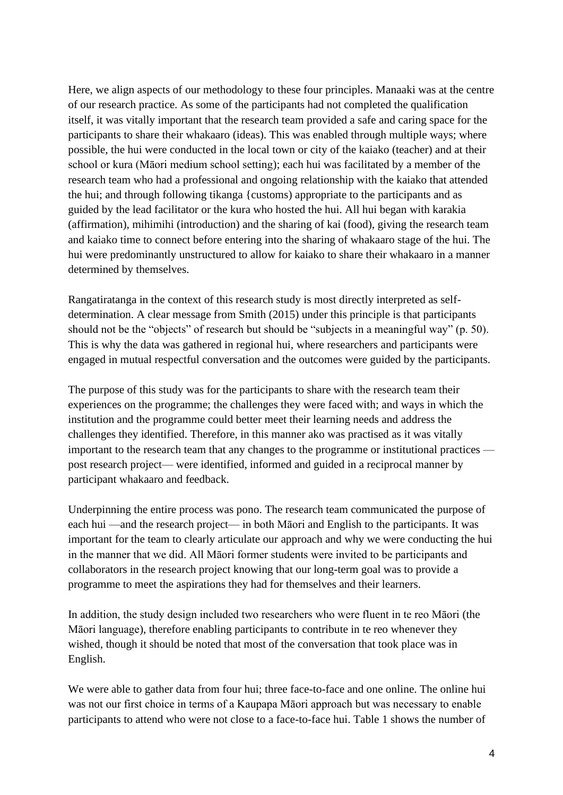Here, we align aspects of our methodology to these four principles. Manaaki was at the centre of our research practice. As some of the participants had not completed the qualification itself, it was vitally important that the research team provided a safe and caring space for the participants to share their whakaaro (ideas). This was enabled through multiple ways; where possible, the hui were conducted in the local town or city of the kaiako (teacher) and at their school or kura (Māori medium school setting); each hui was facilitated by a member of the research team who had a professional and ongoing relationship with the kaiako that attended the hui; and through following tikanga {customs) appropriate to the participants and as guided by the lead facilitator or the kura who hosted the hui. All hui began with karakia (affirmation), mihimihi (introduction) and the sharing of kai (food), giving the research team and kaiako time to connect before entering into the sharing of whakaaro stage of the hui. The hui were predominantly unstructured to allow for kaiako to share their whakaaro in a manner determined by themselves.

Rangatiratanga in the context of this research study is most directly interpreted as selfdetermination. A clear message from Smith (2015) under this principle is that participants should not be the "objects" of research but should be "subjects in a meaningful way" (p. 50). This is why the data was gathered in regional hui, where researchers and participants were engaged in mutual respectful conversation and the outcomes were guided by the participants.

The purpose of this study was for the participants to share with the research team their experiences on the programme; the challenges they were faced with; and ways in which the institution and the programme could better meet their learning needs and address the challenges they identified. Therefore, in this manner ako was practised as it was vitally important to the research team that any changes to the programme or institutional practices post research project— were identified, informed and guided in a reciprocal manner by participant whakaaro and feedback.

Underpinning the entire process was pono. The research team communicated the purpose of each hui —and the research project— in both Māori and English to the participants. It was important for the team to clearly articulate our approach and why we were conducting the hui in the manner that we did. All Māori former students were invited to be participants and collaborators in the research project knowing that our long-term goal was to provide a programme to meet the aspirations they had for themselves and their learners.

In addition, the study design included two researchers who were fluent in te reo Māori (the Māori language), therefore enabling participants to contribute in te reo whenever they wished, though it should be noted that most of the conversation that took place was in English.

We were able to gather data from four hui; three face-to-face and one online. The online hui was not our first choice in terms of a Kaupapa Māori approach but was necessary to enable participants to attend who were not close to a face-to-face hui. Table 1 shows the number of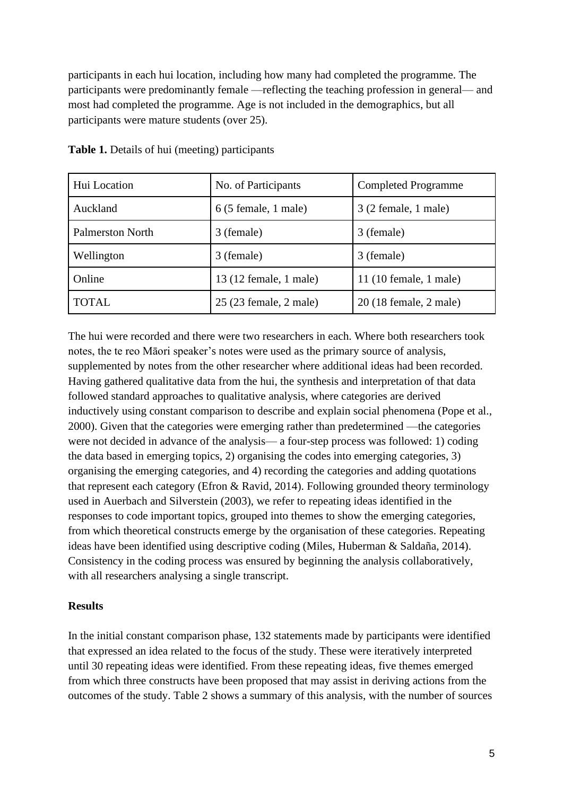participants in each hui location, including how many had completed the programme. The participants were predominantly female —reflecting the teaching profession in general— and most had completed the programme. Age is not included in the demographics, but all participants were mature students (over 25).

| Hui Location            | No. of Participants                   | <b>Completed Programme</b> |
|-------------------------|---------------------------------------|----------------------------|
| Auckland                | $6(5 \text{ female}, 1 \text{ male})$ | $3(2)$ female, 1 male)     |
| <b>Palmerston North</b> | 3 (female)                            | 3 (female)                 |
| Wellington              | 3 (female)                            | 3 (female)                 |
| Online                  | 13 (12 female, 1 male)                | $11(10$ female, 1 male)    |
| <b>TOTAL</b>            | 25 (23 female, 2 male)                | 20 (18 female, 2 male)     |

**Table 1.** Details of hui (meeting) participants

The hui were recorded and there were two researchers in each. Where both researchers took notes, the te reo Māori speaker's notes were used as the primary source of analysis, supplemented by notes from the other researcher where additional ideas had been recorded. Having gathered qualitative data from the hui, the synthesis and interpretation of that data followed standard approaches to qualitative analysis, where categories are derived inductively using constant comparison to describe and explain social phenomena (Pope et al., 2000). Given that the categories were emerging rather than predetermined —the categories were not decided in advance of the analysis— a four-step process was followed: 1) coding the data based in emerging topics, 2) organising the codes into emerging categories, 3) organising the emerging categories, and 4) recording the categories and adding quotations that represent each category (Efron & Ravid, 2014). Following grounded theory terminology used in Auerbach and Silverstein (2003), we refer to repeating ideas identified in the responses to code important topics, grouped into themes to show the emerging categories, from which theoretical constructs emerge by the organisation of these categories. Repeating ideas have been identified using descriptive coding (Miles, Huberman & Saldaña, 2014). Consistency in the coding process was ensured by beginning the analysis collaboratively, with all researchers analysing a single transcript.

#### **Results**

In the initial constant comparison phase, 132 statements made by participants were identified that expressed an idea related to the focus of the study. These were iteratively interpreted until 30 repeating ideas were identified. From these repeating ideas, five themes emerged from which three constructs have been proposed that may assist in deriving actions from the outcomes of the study. Table 2 shows a summary of this analysis, with the number of sources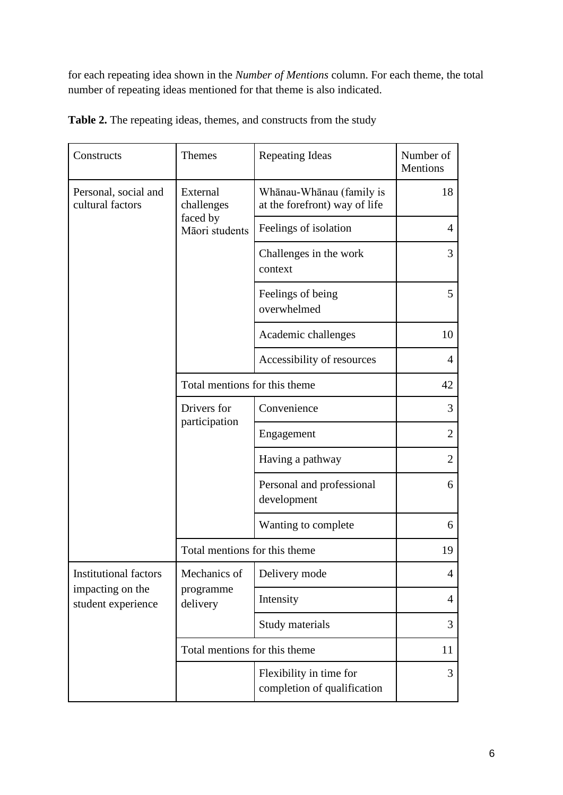for each repeating idea shown in the *Number of Mentions* column. For each theme, the total number of repeating ideas mentioned for that theme is also indicated.

| Constructs                                                             | <b>Themes</b>                                        | Repeating Ideas                                           | Number of<br>Mentions |
|------------------------------------------------------------------------|------------------------------------------------------|-----------------------------------------------------------|-----------------------|
| Personal, social and<br>cultural factors                               | External<br>challenges<br>faced by<br>Māori students | Whānau-Whānau (family is<br>at the forefront) way of life | 18                    |
|                                                                        |                                                      | Feelings of isolation                                     | 4                     |
|                                                                        |                                                      | Challenges in the work<br>context                         | 3                     |
|                                                                        |                                                      | Feelings of being<br>overwhelmed                          | 5                     |
|                                                                        |                                                      | Academic challenges                                       | 10                    |
|                                                                        |                                                      | Accessibility of resources                                | $\overline{4}$        |
|                                                                        | Total mentions for this theme                        |                                                           | 42                    |
|                                                                        | Drivers for<br>participation                         | Convenience                                               | 3                     |
|                                                                        |                                                      | Engagement                                                | $\overline{2}$        |
|                                                                        |                                                      | Having a pathway                                          | $\overline{2}$        |
|                                                                        |                                                      | Personal and professional<br>development                  | 6                     |
|                                                                        |                                                      | Wanting to complete                                       | 6                     |
|                                                                        | Total mentions for this theme                        |                                                           | 19                    |
| <b>Institutional factors</b><br>impacting on the<br>student experience | Mechanics of<br>programme<br>delivery                | Delivery mode                                             | $\overline{4}$        |
|                                                                        |                                                      | Intensity                                                 | 4                     |
|                                                                        |                                                      | Study materials                                           | 3                     |
|                                                                        | Total mentions for this theme                        |                                                           | 11                    |
|                                                                        |                                                      | Flexibility in time for<br>completion of qualification    | 3                     |

**Table 2.** The repeating ideas, themes, and constructs from the study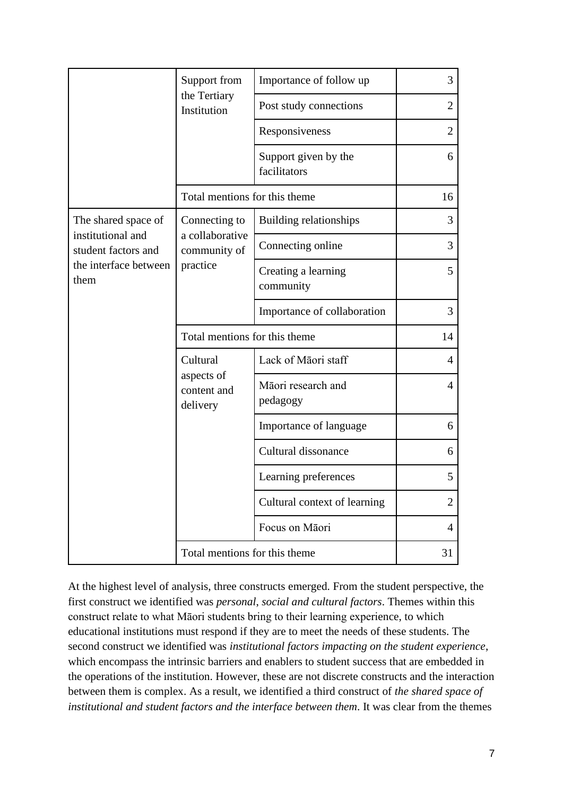|                                                                                                  | Support from<br>the Tertiary<br>Institution                  | Importance of follow up              | 3              |
|--------------------------------------------------------------------------------------------------|--------------------------------------------------------------|--------------------------------------|----------------|
|                                                                                                  |                                                              | Post study connections               | $\overline{2}$ |
|                                                                                                  |                                                              | Responsiveness                       | $\overline{2}$ |
|                                                                                                  |                                                              | Support given by the<br>facilitators | 6              |
|                                                                                                  | Total mentions for this theme                                |                                      | 16             |
| The shared space of<br>institutional and<br>student factors and<br>the interface between<br>them | Connecting to<br>a collaborative<br>community of<br>practice | <b>Building relationships</b>        | 3              |
|                                                                                                  |                                                              | Connecting online                    | 3              |
|                                                                                                  |                                                              | Creating a learning<br>community     | 5              |
|                                                                                                  |                                                              | Importance of collaboration          | 3              |
|                                                                                                  | Total mentions for this theme                                |                                      | 14             |
|                                                                                                  | Cultural<br>aspects of<br>content and<br>delivery            | Lack of Māori staff                  | $\overline{4}$ |
|                                                                                                  |                                                              | Māori research and<br>pedagogy       | 4              |
|                                                                                                  |                                                              | Importance of language               | 6              |
|                                                                                                  |                                                              | Cultural dissonance                  | 6              |
|                                                                                                  |                                                              | Learning preferences                 | 5              |
|                                                                                                  |                                                              | Cultural context of learning         | $\overline{2}$ |
|                                                                                                  |                                                              | Focus on Māori                       | 4              |
|                                                                                                  | Total mentions for this theme                                |                                      | 31             |

At the highest level of analysis, three constructs emerged. From the student perspective, the first construct we identified was *personal*, *social and cultural factors*. Themes within this construct relate to what Māori students bring to their learning experience, to which educational institutions must respond if they are to meet the needs of these students. The second construct we identified was *institutional factors impacting on the student experience*, which encompass the intrinsic barriers and enablers to student success that are embedded in the operations of the institution. However, these are not discrete constructs and the interaction between them is complex. As a result, we identified a third construct of *the shared space of institutional and student factors and the interface between them*. It was clear from the themes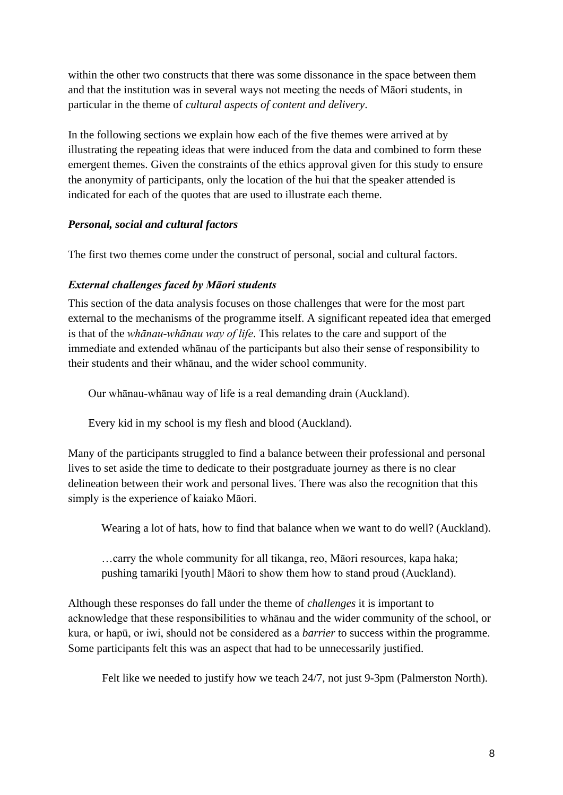within the other two constructs that there was some dissonance in the space between them and that the institution was in several ways not meeting the needs of Māori students, in particular in the theme of *cultural aspects of content and delivery*.

In the following sections we explain how each of the five themes were arrived at by illustrating the repeating ideas that were induced from the data and combined to form these emergent themes. Given the constraints of the ethics approval given for this study to ensure the anonymity of participants, only the location of the hui that the speaker attended is indicated for each of the quotes that are used to illustrate each theme.

# *Personal, social and cultural factors*

The first two themes come under the construct of personal, social and cultural factors.

### *External challenges faced by Māori students*

This section of the data analysis focuses on those challenges that were for the most part external to the mechanisms of the programme itself. A significant repeated idea that emerged is that of the *whānau-whānau way of life*. This relates to the care and support of the immediate and extended whānau of the participants but also their sense of responsibility to their students and their whānau, and the wider school community.

Our whānau-whānau way of life is a real demanding drain (Auckland).

Every kid in my school is my flesh and blood (Auckland).

Many of the participants struggled to find a balance between their professional and personal lives to set aside the time to dedicate to their postgraduate journey as there is no clear delineation between their work and personal lives. There was also the recognition that this simply is the experience of kaiako Māori.

Wearing a lot of hats, how to find that balance when we want to do well? (Auckland).

…carry the whole community for all tikanga, reo, Māori resources, kapa haka; pushing tamariki [youth] Māori to show them how to stand proud (Auckland).

Although these responses do fall under the theme of *challenges* it is important to acknowledge that these responsibilities to whānau and the wider community of the school, or kura, or hapū, or iwi, should not be considered as a *barrier* to success within the programme. Some participants felt this was an aspect that had to be unnecessarily justified.

Felt like we needed to justify how we teach 24/7, not just 9-3pm (Palmerston North).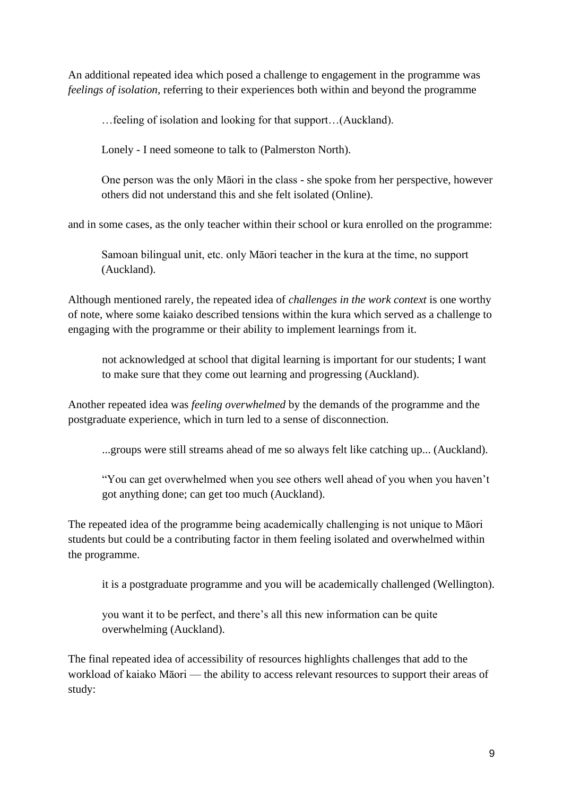An additional repeated idea which posed a challenge to engagement in the programme was *feelings of isolation*, referring to their experiences both within and beyond the programme

…feeling of isolation and looking for that support…(Auckland).

Lonely - I need someone to talk to (Palmerston North).

One person was the only Māori in the class - she spoke from her perspective, however others did not understand this and she felt isolated (Online).

and in some cases, as the only teacher within their school or kura enrolled on the programme:

Samoan bilingual unit, etc. only Māori teacher in the kura at the time, no support (Auckland).

Although mentioned rarely, the repeated idea of *challenges in the work context* is one worthy of note, where some kaiako described tensions within the kura which served as a challenge to engaging with the programme or their ability to implement learnings from it.

not acknowledged at school that digital learning is important for our students; I want to make sure that they come out learning and progressing (Auckland).

Another repeated idea was *feeling overwhelmed* by the demands of the programme and the postgraduate experience, which in turn led to a sense of disconnection.

...groups were still streams ahead of me so always felt like catching up... (Auckland).

"You can get overwhelmed when you see others well ahead of you when you haven't got anything done; can get too much (Auckland).

The repeated idea of the programme being academically challenging is not unique to Māori students but could be a contributing factor in them feeling isolated and overwhelmed within the programme.

it is a postgraduate programme and you will be academically challenged (Wellington).

you want it to be perfect, and there's all this new information can be quite overwhelming (Auckland).

The final repeated idea of accessibility of resources highlights challenges that add to the workload of kaiako Māori — the ability to access relevant resources to support their areas of study: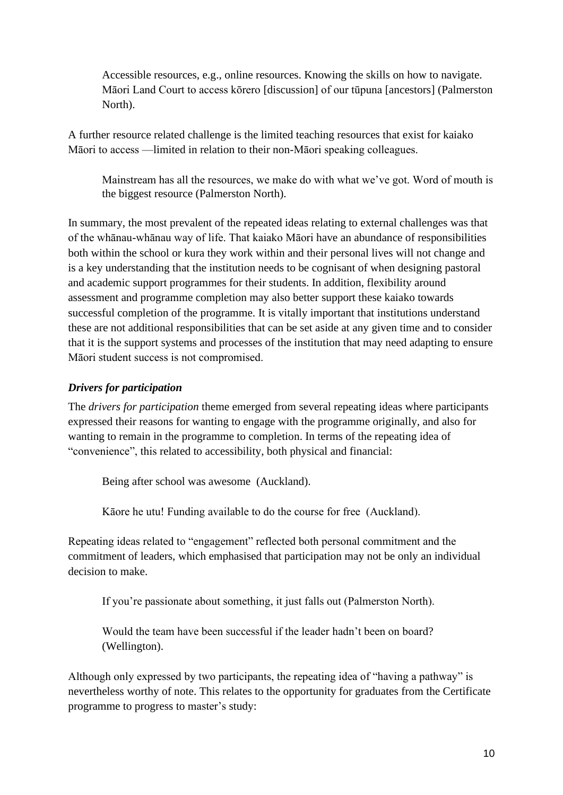Accessible resources, e.g., online resources. Knowing the skills on how to navigate. Māori Land Court to access kōrero [discussion] of our tūpuna [ancestors] (Palmerston North).

A further resource related challenge is the limited teaching resources that exist for kaiako Māori to access —limited in relation to their non-Māori speaking colleagues.

Mainstream has all the resources, we make do with what we've got. Word of mouth is the biggest resource (Palmerston North).

In summary, the most prevalent of the repeated ideas relating to external challenges was that of the whānau-whānau way of life. That kaiako Māori have an abundance of responsibilities both within the school or kura they work within and their personal lives will not change and is a key understanding that the institution needs to be cognisant of when designing pastoral and academic support programmes for their students. In addition, flexibility around assessment and programme completion may also better support these kaiako towards successful completion of the programme. It is vitally important that institutions understand these are not additional responsibilities that can be set aside at any given time and to consider that it is the support systems and processes of the institution that may need adapting to ensure Māori student success is not compromised.

# *Drivers for participation*

The *drivers for participation* theme emerged from several repeating ideas where participants expressed their reasons for wanting to engage with the programme originally, and also for wanting to remain in the programme to completion. In terms of the repeating idea of "convenience", this related to accessibility, both physical and financial:

Being after school was awesome (Auckland).

Kāore he utu! Funding available to do the course for free (Auckland).

Repeating ideas related to "engagement" reflected both personal commitment and the commitment of leaders, which emphasised that participation may not be only an individual decision to make.

If you're passionate about something, it just falls out (Palmerston North).

Would the team have been successful if the leader hadn't been on board? (Wellington).

Although only expressed by two participants, the repeating idea of "having a pathway" is nevertheless worthy of note. This relates to the opportunity for graduates from the Certificate programme to progress to master's study: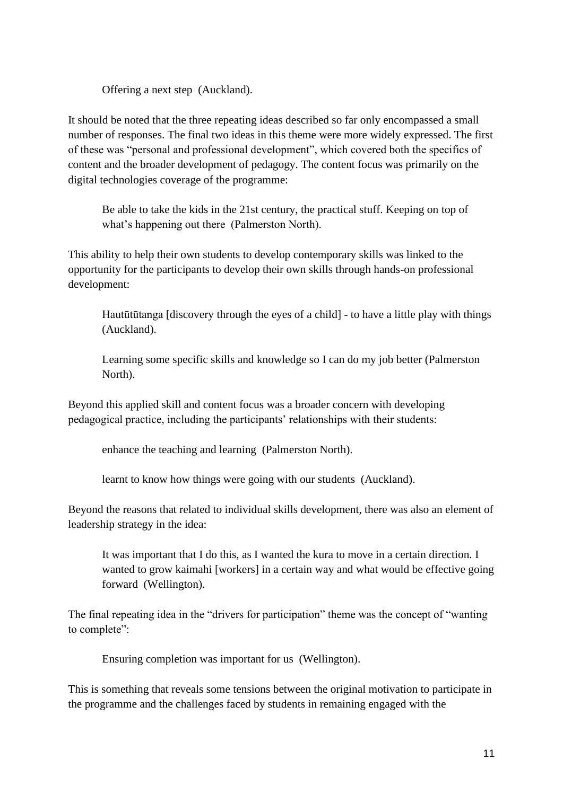Offering a next step (Auckland).

It should be noted that the three repeating ideas described so far only encompassed a small number of responses. The final two ideas in this theme were more widely expressed. The first of these was "personal and professional development", which covered both the specifics of content and the broader development of pedagogy. The content focus was primarily on the digital technologies coverage of the programme:

Be able to take the kids in the 21st century, the practical stuff. Keeping on top of what's happening out there (Palmerston North).

This ability to help their own students to develop contemporary skills was linked to the opportunity for the participants to develop their own skills through hands-on professional development:

Hautūtūtanga [discovery through the eyes of a child] - to have a little play with things (Auckland).

Learning some specific skills and knowledge so I can do my job better (Palmerston North).

Beyond this applied skill and content focus was a broader concern with developing pedagogical practice, including the participants' relationships with their students:

enhance the teaching and learning (Palmerston North).

learnt to know how things were going with our students (Auckland).

Beyond the reasons that related to individual skills development, there was also an element of leadership strategy in the idea:

It was important that I do this, as I wanted the kura to move in a certain direction. I wanted to grow kaimahi [workers] in a certain way and what would be effective going forward (Wellington).

The final repeating idea in the "drivers for participation" theme was the concept of "wanting to complete":

Ensuring completion was important for us (Wellington).

This is something that reveals some tensions between the original motivation to participate in the programme and the challenges faced by students in remaining engaged with the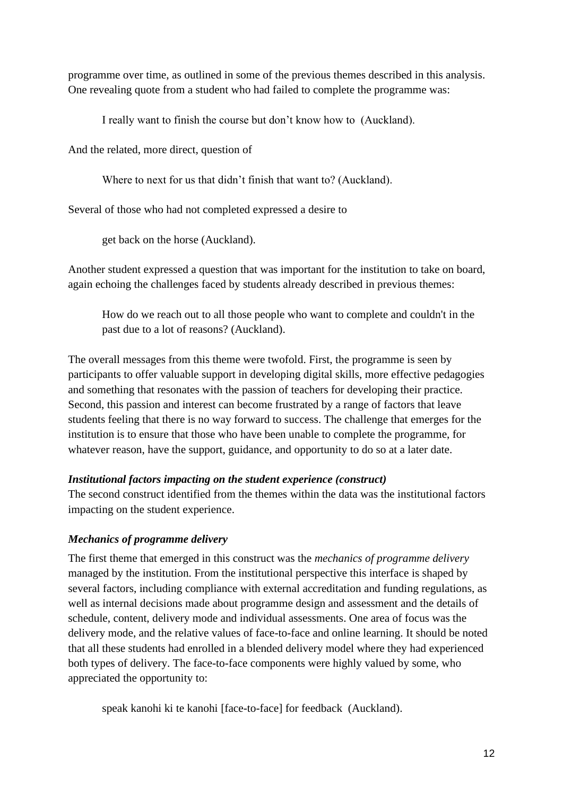programme over time, as outlined in some of the previous themes described in this analysis. One revealing quote from a student who had failed to complete the programme was:

I really want to finish the course but don't know how to (Auckland).

And the related, more direct, question of

Where to next for us that didn't finish that want to? (Auckland).

Several of those who had not completed expressed a desire to

get back on the horse (Auckland).

Another student expressed a question that was important for the institution to take on board, again echoing the challenges faced by students already described in previous themes:

How do we reach out to all those people who want to complete and couldn't in the past due to a lot of reasons? (Auckland).

The overall messages from this theme were twofold. First, the programme is seen by participants to offer valuable support in developing digital skills, more effective pedagogies and something that resonates with the passion of teachers for developing their practice. Second, this passion and interest can become frustrated by a range of factors that leave students feeling that there is no way forward to success. The challenge that emerges for the institution is to ensure that those who have been unable to complete the programme, for whatever reason, have the support, guidance, and opportunity to do so at a later date.

### *Institutional factors impacting on the student experience (construct)*

The second construct identified from the themes within the data was the institutional factors impacting on the student experience.

# *Mechanics of programme delivery*

The first theme that emerged in this construct was the *mechanics of programme delivery* managed by the institution. From the institutional perspective this interface is shaped by several factors, including compliance with external accreditation and funding regulations, as well as internal decisions made about programme design and assessment and the details of schedule, content, delivery mode and individual assessments. One area of focus was the delivery mode, and the relative values of face-to-face and online learning. It should be noted that all these students had enrolled in a blended delivery model where they had experienced both types of delivery. The face-to-face components were highly valued by some, who appreciated the opportunity to:

speak kanohi ki te kanohi [face-to-face] for feedback (Auckland).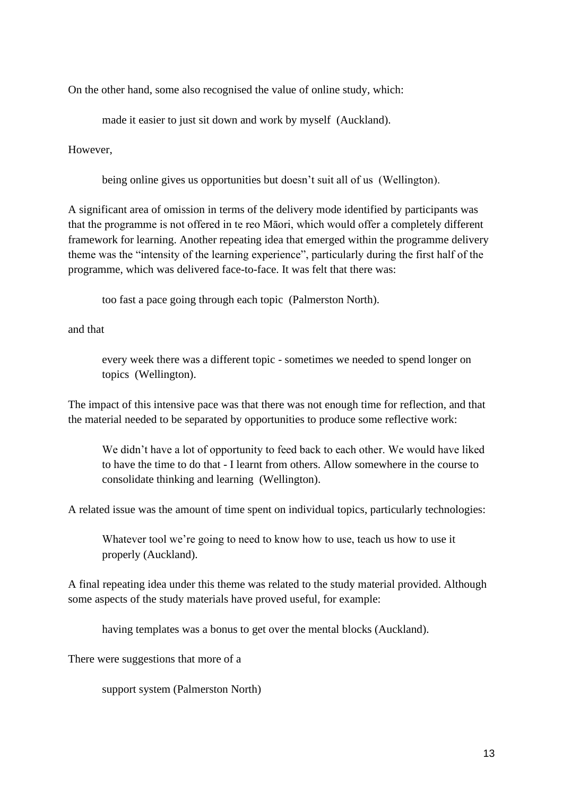On the other hand, some also recognised the value of online study, which:

made it easier to just sit down and work by myself (Auckland).

However,

being online gives us opportunities but doesn't suit all of us (Wellington).

A significant area of omission in terms of the delivery mode identified by participants was that the programme is not offered in te reo Māori, which would offer a completely different framework for learning. Another repeating idea that emerged within the programme delivery theme was the "intensity of the learning experience", particularly during the first half of the programme, which was delivered face-to-face. It was felt that there was:

too fast a pace going through each topic (Palmerston North).

and that

every week there was a different topic - sometimes we needed to spend longer on topics (Wellington).

The impact of this intensive pace was that there was not enough time for reflection, and that the material needed to be separated by opportunities to produce some reflective work:

We didn't have a lot of opportunity to feed back to each other. We would have liked to have the time to do that - I learnt from others. Allow somewhere in the course to consolidate thinking and learning (Wellington).

A related issue was the amount of time spent on individual topics, particularly technologies:

Whatever tool we're going to need to know how to use, teach us how to use it properly (Auckland).

A final repeating idea under this theme was related to the study material provided. Although some aspects of the study materials have proved useful, for example:

having templates was a bonus to get over the mental blocks (Auckland).

There were suggestions that more of a

support system (Palmerston North)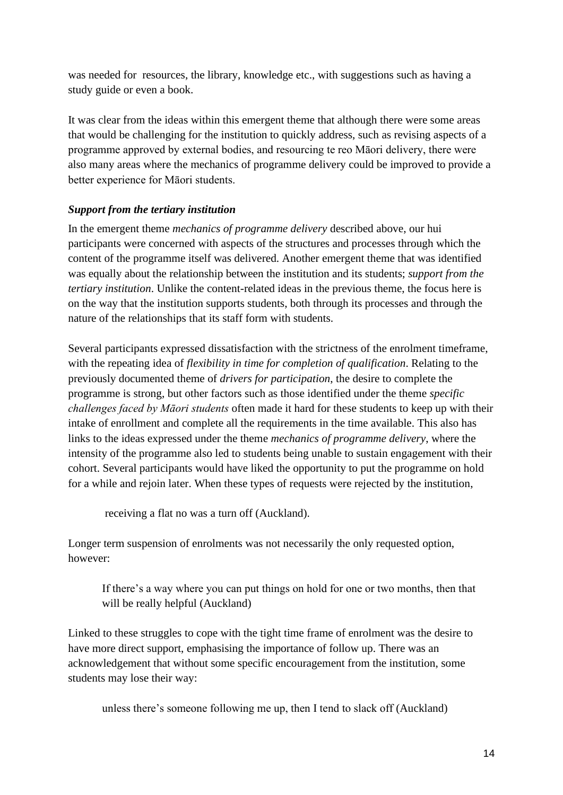was needed for resources, the library, knowledge etc., with suggestions such as having a study guide or even a book.

It was clear from the ideas within this emergent theme that although there were some areas that would be challenging for the institution to quickly address, such as revising aspects of a programme approved by external bodies, and resourcing te reo Māori delivery, there were also many areas where the mechanics of programme delivery could be improved to provide a better experience for Māori students.

# *Support from the tertiary institution*

In the emergent theme *mechanics of programme delivery* described above, our hui participants were concerned with aspects of the structures and processes through which the content of the programme itself was delivered. Another emergent theme that was identified was equally about the relationship between the institution and its students; *support from the tertiary institution*. Unlike the content-related ideas in the previous theme, the focus here is on the way that the institution supports students, both through its processes and through the nature of the relationships that its staff form with students.

Several participants expressed dissatisfaction with the strictness of the enrolment timeframe, with the repeating idea of *flexibility in time for completion of qualification*. Relating to the previously documented theme of *drivers for participation*, the desire to complete the programme is strong, but other factors such as those identified under the theme *specific challenges faced by Māori students* often made it hard for these students to keep up with their intake of enrollment and complete all the requirements in the time available. This also has links to the ideas expressed under the theme *mechanics of programme delivery*, where the intensity of the programme also led to students being unable to sustain engagement with their cohort. Several participants would have liked the opportunity to put the programme on hold for a while and rejoin later. When these types of requests were rejected by the institution,

receiving a flat no was a turn off (Auckland).

Longer term suspension of enrolments was not necessarily the only requested option, however:

If there's a way where you can put things on hold for one or two months, then that will be really helpful (Auckland)

Linked to these struggles to cope with the tight time frame of enrolment was the desire to have more direct support, emphasising the importance of follow up. There was an acknowledgement that without some specific encouragement from the institution, some students may lose their way:

unless there's someone following me up, then I tend to slack off (Auckland)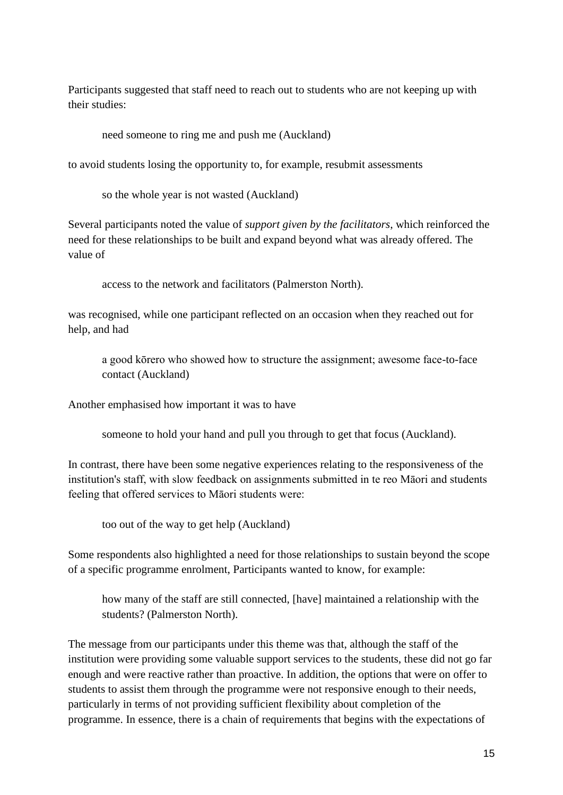Participants suggested that staff need to reach out to students who are not keeping up with their studies:

need someone to ring me and push me (Auckland)

to avoid students losing the opportunity to, for example, resubmit assessments

so the whole year is not wasted (Auckland)

Several participants noted the value of *support given by the facilitators*, which reinforced the need for these relationships to be built and expand beyond what was already offered. The value of

access to the network and facilitators (Palmerston North).

was recognised, while one participant reflected on an occasion when they reached out for help, and had

a good kōrero who showed how to structure the assignment; awesome face-to-face contact (Auckland)

Another emphasised how important it was to have

someone to hold your hand and pull you through to get that focus (Auckland).

In contrast, there have been some negative experiences relating to the responsiveness of the institution's staff, with slow feedback on assignments submitted in te reo Māori and students feeling that offered services to Māori students were:

too out of the way to get help (Auckland)

Some respondents also highlighted a need for those relationships to sustain beyond the scope of a specific programme enrolment, Participants wanted to know, for example:

how many of the staff are still connected, [have] maintained a relationship with the students? (Palmerston North).

The message from our participants under this theme was that, although the staff of the institution were providing some valuable support services to the students, these did not go far enough and were reactive rather than proactive. In addition, the options that were on offer to students to assist them through the programme were not responsive enough to their needs, particularly in terms of not providing sufficient flexibility about completion of the programme. In essence, there is a chain of requirements that begins with the expectations of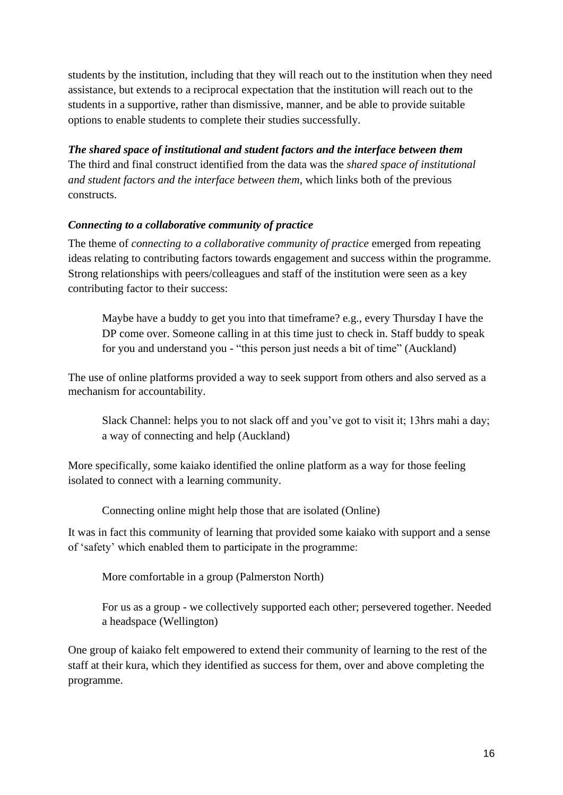students by the institution, including that they will reach out to the institution when they need assistance, but extends to a reciprocal expectation that the institution will reach out to the students in a supportive, rather than dismissive, manner, and be able to provide suitable options to enable students to complete their studies successfully.

*The shared space of institutional and student factors and the interface between them*  The third and final construct identified from the data was the *shared space of institutional and student factors and the interface between them*, which links both of the previous constructs.

# *Connecting to a collaborative community of practice*

The theme of *connecting to a collaborative community of practice* emerged from repeating ideas relating to contributing factors towards engagement and success within the programme. Strong relationships with peers/colleagues and staff of the institution were seen as a key contributing factor to their success:

Maybe have a buddy to get you into that timeframe? e.g., every Thursday I have the DP come over. Someone calling in at this time just to check in. Staff buddy to speak for you and understand you - "this person just needs a bit of time" (Auckland)

The use of online platforms provided a way to seek support from others and also served as a mechanism for accountability.

Slack Channel: helps you to not slack off and you've got to visit it; 13hrs mahi a day; a way of connecting and help (Auckland)

More specifically, some kaiako identified the online platform as a way for those feeling isolated to connect with a learning community.

Connecting online might help those that are isolated (Online)

It was in fact this community of learning that provided some kaiako with support and a sense of 'safety' which enabled them to participate in the programme:

More comfortable in a group (Palmerston North)

For us as a group - we collectively supported each other; persevered together. Needed a headspace (Wellington)

One group of kaiako felt empowered to extend their community of learning to the rest of the staff at their kura, which they identified as success for them, over and above completing the programme.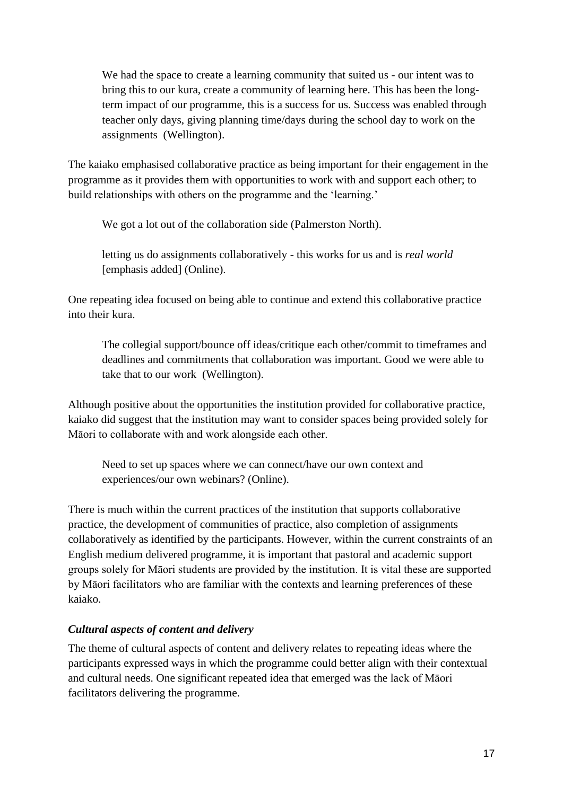We had the space to create a learning community that suited us - our intent was to bring this to our kura, create a community of learning here. This has been the longterm impact of our programme, this is a success for us. Success was enabled through teacher only days, giving planning time/days during the school day to work on the assignments (Wellington).

The kaiako emphasised collaborative practice as being important for their engagement in the programme as it provides them with opportunities to work with and support each other; to build relationships with others on the programme and the 'learning.'

We got a lot out of the collaboration side (Palmerston North).

letting us do assignments collaboratively - this works for us and is *real world*  [emphasis added] (Online).

One repeating idea focused on being able to continue and extend this collaborative practice into their kura.

The collegial support/bounce off ideas/critique each other/commit to timeframes and deadlines and commitments that collaboration was important. Good we were able to take that to our work (Wellington).

Although positive about the opportunities the institution provided for collaborative practice, kaiako did suggest that the institution may want to consider spaces being provided solely for Māori to collaborate with and work alongside each other.

Need to set up spaces where we can connect/have our own context and experiences/our own webinars? (Online).

There is much within the current practices of the institution that supports collaborative practice, the development of communities of practice, also completion of assignments collaboratively as identified by the participants. However, within the current constraints of an English medium delivered programme, it is important that pastoral and academic support groups solely for Māori students are provided by the institution. It is vital these are supported by Māori facilitators who are familiar with the contexts and learning preferences of these kaiako.

# *Cultural aspects of content and delivery*

The theme of cultural aspects of content and delivery relates to repeating ideas where the participants expressed ways in which the programme could better align with their contextual and cultural needs. One significant repeated idea that emerged was the lack of Māori facilitators delivering the programme.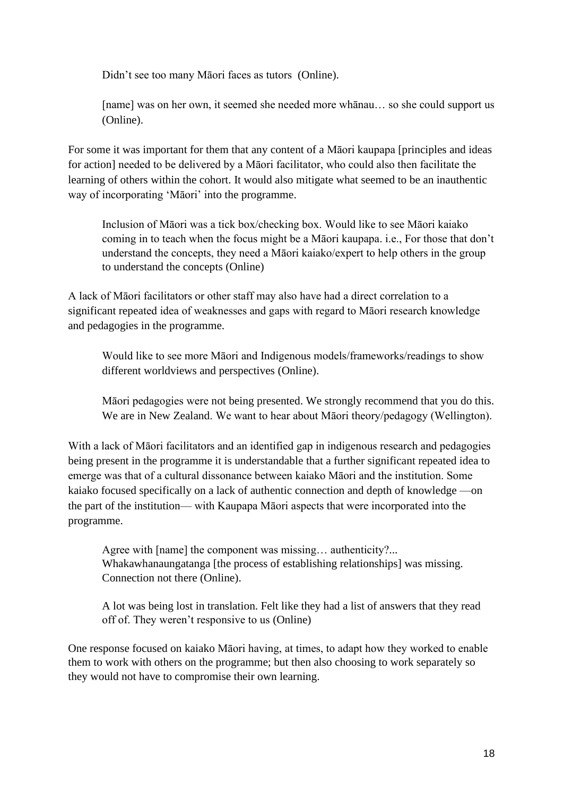Didn't see too many Māori faces as tutors (Online).

[name] was on her own, it seemed she needed more whānau... so she could support us (Online).

For some it was important for them that any content of a Māori kaupapa [principles and ideas for action] needed to be delivered by a Māori facilitator, who could also then facilitate the learning of others within the cohort. It would also mitigate what seemed to be an inauthentic way of incorporating 'Māori' into the programme.

Inclusion of Māori was a tick box/checking box. Would like to see Māori kaiako coming in to teach when the focus might be a Māori kaupapa. i.e., For those that don't understand the concepts, they need a Māori kaiako/expert to help others in the group to understand the concepts (Online)

A lack of Māori facilitators or other staff may also have had a direct correlation to a significant repeated idea of weaknesses and gaps with regard to Māori research knowledge and pedagogies in the programme.

Would like to see more Māori and Indigenous models/frameworks/readings to show different worldviews and perspectives (Online).

Māori pedagogies were not being presented. We strongly recommend that you do this. We are in New Zealand. We want to hear about Māori theory/pedagogy (Wellington).

With a lack of Māori facilitators and an identified gap in indigenous research and pedagogies being present in the programme it is understandable that a further significant repeated idea to emerge was that of a cultural dissonance between kaiako Māori and the institution. Some kaiako focused specifically on a lack of authentic connection and depth of knowledge —on the part of the institution— with Kaupapa Māori aspects that were incorporated into the programme.

Agree with [name] the component was missing… authenticity?... Whakawhanaungatanga [the process of establishing relationships] was missing. Connection not there (Online).

A lot was being lost in translation. Felt like they had a list of answers that they read off of. They weren't responsive to us (Online)

One response focused on kaiako Māori having, at times, to adapt how they worked to enable them to work with others on the programme; but then also choosing to work separately so they would not have to compromise their own learning.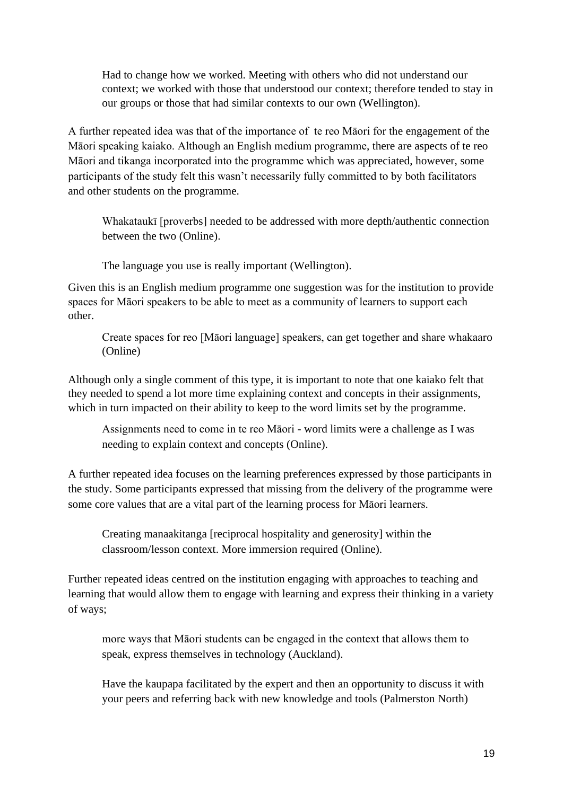Had to change how we worked. Meeting with others who did not understand our context; we worked with those that understood our context; therefore tended to stay in our groups or those that had similar contexts to our own (Wellington).

A further repeated idea was that of the importance of te reo Māori for the engagement of the Māori speaking kaiako. Although an English medium programme, there are aspects of te reo Māori and tikanga incorporated into the programme which was appreciated, however, some participants of the study felt this wasn't necessarily fully committed to by both facilitators and other students on the programme.

Whakataukī [proverbs] needed to be addressed with more depth/authentic connection between the two (Online).

The language you use is really important (Wellington).

Given this is an English medium programme one suggestion was for the institution to provide spaces for Māori speakers to be able to meet as a community of learners to support each other.

Create spaces for reo [Māori language] speakers, can get together and share whakaaro (Online)

Although only a single comment of this type, it is important to note that one kaiako felt that they needed to spend a lot more time explaining context and concepts in their assignments, which in turn impacted on their ability to keep to the word limits set by the programme.

Assignments need to come in te reo Māori - word limits were a challenge as I was needing to explain context and concepts (Online).

A further repeated idea focuses on the learning preferences expressed by those participants in the study. Some participants expressed that missing from the delivery of the programme were some core values that are a vital part of the learning process for Māori learners.

Creating manaakitanga [reciprocal hospitality and generosity] within the classroom/lesson context. More immersion required (Online).

Further repeated ideas centred on the institution engaging with approaches to teaching and learning that would allow them to engage with learning and express their thinking in a variety of ways;

more ways that Māori students can be engaged in the context that allows them to speak, express themselves in technology (Auckland).

Have the kaupapa facilitated by the expert and then an opportunity to discuss it with your peers and referring back with new knowledge and tools (Palmerston North)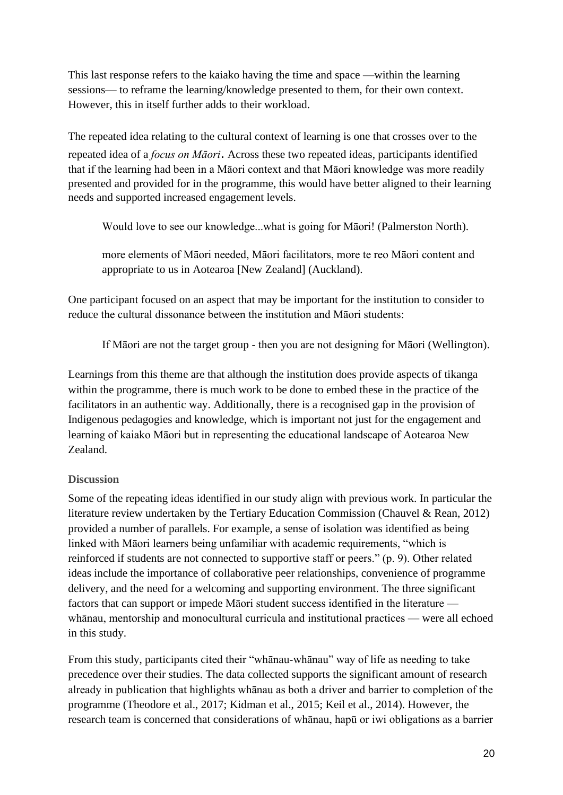This last response refers to the kaiako having the time and space —within the learning sessions— to reframe the learning/knowledge presented to them, for their own context. However, this in itself further adds to their workload.

The repeated idea relating to the cultural context of learning is one that crosses over to the repeated idea of a *focus on Māori*. Across these two repeated ideas, participants identified that if the learning had been in a Māori context and that Māori knowledge was more readily presented and provided for in the programme, this would have better aligned to their learning needs and supported increased engagement levels.

Would love to see our knowledge...what is going for Māori! (Palmerston North).

more elements of Māori needed, Māori facilitators, more te reo Māori content and appropriate to us in Aotearoa [New Zealand] (Auckland).

One participant focused on an aspect that may be important for the institution to consider to reduce the cultural dissonance between the institution and Māori students:

If Māori are not the target group - then you are not designing for Māori (Wellington).

Learnings from this theme are that although the institution does provide aspects of tikanga within the programme, there is much work to be done to embed these in the practice of the facilitators in an authentic way. Additionally, there is a recognised gap in the provision of Indigenous pedagogies and knowledge, which is important not just for the engagement and learning of kaiako Māori but in representing the educational landscape of Aotearoa New Zealand.

### **Discussion**

Some of the repeating ideas identified in our study align with previous work. In particular the literature review undertaken by the Tertiary Education Commission (Chauvel & Rean, 2012) provided a number of parallels. For example, a sense of isolation was identified as being linked with Māori learners being unfamiliar with academic requirements, "which is reinforced if students are not connected to supportive staff or peers." (p. 9). Other related ideas include the importance of collaborative peer relationships, convenience of programme delivery, and the need for a welcoming and supporting environment. The three significant factors that can support or impede Māori student success identified in the literature whānau, mentorship and monocultural curricula and institutional practices — were all echoed in this study.

From this study, participants cited their "whānau-whānau" way of life as needing to take precedence over their studies. The data collected supports the significant amount of research already in publication that highlights whānau as both a driver and barrier to completion of the programme (Theodore et al., 2017; Kidman et al., 2015; Keil et al., 2014). However, the research team is concerned that considerations of whānau, hapū or iwi obligations as a barrier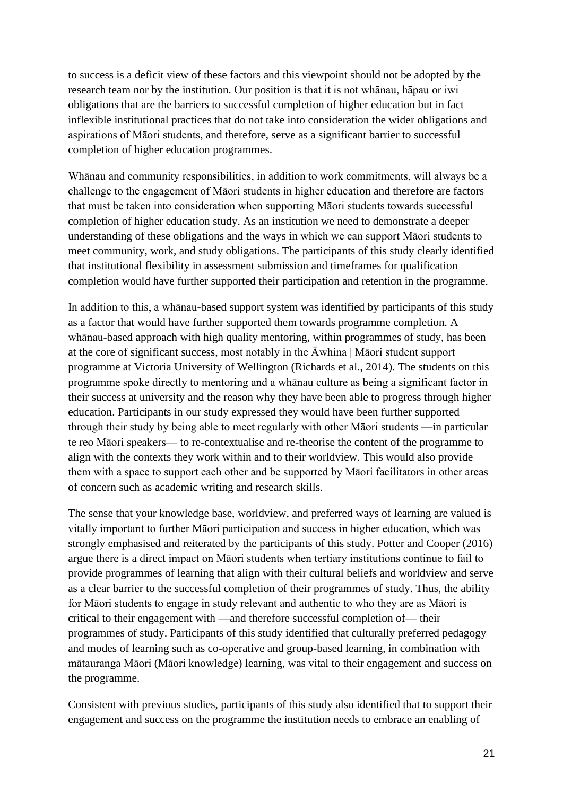to success is a deficit view of these factors and this viewpoint should not be adopted by the research team nor by the institution. Our position is that it is not whānau, hāpau or iwi obligations that are the barriers to successful completion of higher education but in fact inflexible institutional practices that do not take into consideration the wider obligations and aspirations of Māori students, and therefore, serve as a significant barrier to successful completion of higher education programmes.

Whānau and community responsibilities, in addition to work commitments, will always be a challenge to the engagement of Māori students in higher education and therefore are factors that must be taken into consideration when supporting Māori students towards successful completion of higher education study. As an institution we need to demonstrate a deeper understanding of these obligations and the ways in which we can support Māori students to meet community, work, and study obligations. The participants of this study clearly identified that institutional flexibility in assessment submission and timeframes for qualification completion would have further supported their participation and retention in the programme.

In addition to this, a whānau-based support system was identified by participants of this study as a factor that would have further supported them towards programme completion. A whānau-based approach with high quality mentoring, within programmes of study, has been at the core of significant success, most notably in the  $\bar{A}$ whina | Māori student support programme at Victoria University of Wellington (Richards et al., 2014). The students on this programme spoke directly to mentoring and a whānau culture as being a significant factor in their success at university and the reason why they have been able to progress through higher education. Participants in our study expressed they would have been further supported through their study by being able to meet regularly with other Māori students —in particular te reo Māori speakers— to re-contextualise and re-theorise the content of the programme to align with the contexts they work within and to their worldview. This would also provide them with a space to support each other and be supported by Māori facilitators in other areas of concern such as academic writing and research skills.

The sense that your knowledge base, worldview, and preferred ways of learning are valued is vitally important to further Māori participation and success in higher education, which was strongly emphasised and reiterated by the participants of this study. Potter and Cooper (2016) argue there is a direct impact on Māori students when tertiary institutions continue to fail to provide programmes of learning that align with their cultural beliefs and worldview and serve as a clear barrier to the successful completion of their programmes of study. Thus, the ability for Māori students to engage in study relevant and authentic to who they are as Māori is critical to their engagement with —and therefore successful completion of— their programmes of study. Participants of this study identified that culturally preferred pedagogy and modes of learning such as co-operative and group-based learning, in combination with mātauranga Māori (Māori knowledge) learning, was vital to their engagement and success on the programme.

Consistent with previous studies, participants of this study also identified that to support their engagement and success on the programme the institution needs to embrace an enabling of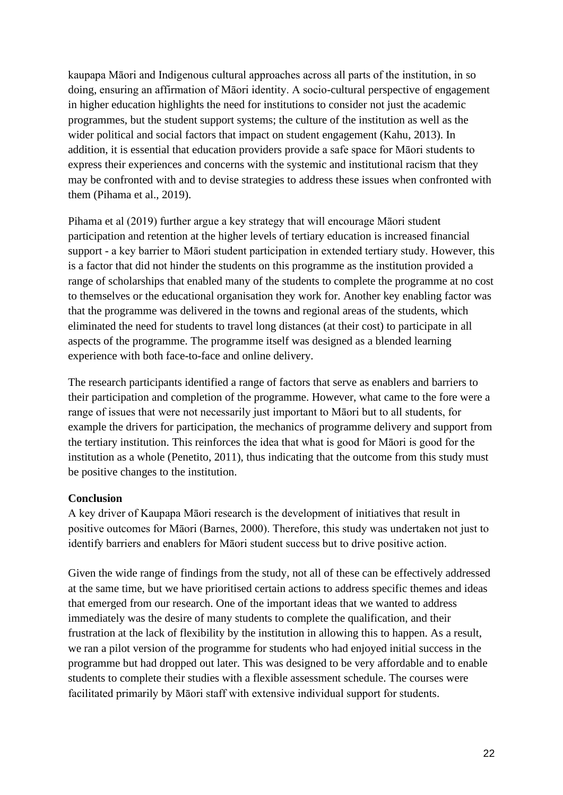kaupapa Māori and Indigenous cultural approaches across all parts of the institution, in so doing, ensuring an affirmation of Māori identity. A socio-cultural perspective of engagement in higher education highlights the need for institutions to consider not just the academic programmes, but the student support systems; the culture of the institution as well as the wider political and social factors that impact on student engagement (Kahu, 2013). In addition, it is essential that education providers provide a safe space for Māori students to express their experiences and concerns with the systemic and institutional racism that they may be confronted with and to devise strategies to address these issues when confronted with them (Pihama et al., 2019).

Pihama et al (2019) further argue a key strategy that will encourage Māori student participation and retention at the higher levels of tertiary education is increased financial support - a key barrier to Māori student participation in extended tertiary study. However, this is a factor that did not hinder the students on this programme as the institution provided a range of scholarships that enabled many of the students to complete the programme at no cost to themselves or the educational organisation they work for. Another key enabling factor was that the programme was delivered in the towns and regional areas of the students, which eliminated the need for students to travel long distances (at their cost) to participate in all aspects of the programme. The programme itself was designed as a blended learning experience with both face-to-face and online delivery.

The research participants identified a range of factors that serve as enablers and barriers to their participation and completion of the programme. However, what came to the fore were a range of issues that were not necessarily just important to Māori but to all students, for example the drivers for participation, the mechanics of programme delivery and support from the tertiary institution. This reinforces the idea that what is good for Māori is good for the institution as a whole (Penetito, 2011), thus indicating that the outcome from this study must be positive changes to the institution.

### **Conclusion**

A key driver of Kaupapa Māori research is the development of initiatives that result in positive outcomes for Māori (Barnes, 2000). Therefore, this study was undertaken not just to identify barriers and enablers for Māori student success but to drive positive action.

Given the wide range of findings from the study, not all of these can be effectively addressed at the same time, but we have prioritised certain actions to address specific themes and ideas that emerged from our research. One of the important ideas that we wanted to address immediately was the desire of many students to complete the qualification, and their frustration at the lack of flexibility by the institution in allowing this to happen. As a result, we ran a pilot version of the programme for students who had enjoyed initial success in the programme but had dropped out later. This was designed to be very affordable and to enable students to complete their studies with a flexible assessment schedule. The courses were facilitated primarily by Māori staff with extensive individual support for students.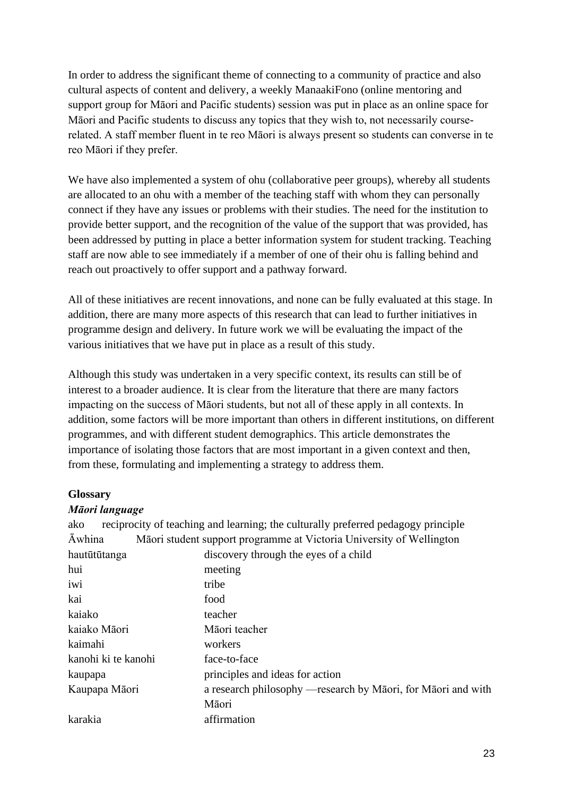In order to address the significant theme of connecting to a community of practice and also cultural aspects of content and delivery, a weekly ManaakiFono (online mentoring and support group for Māori and Pacific students) session was put in place as an online space for Māori and Pacific students to discuss any topics that they wish to, not necessarily courserelated. A staff member fluent in te reo Māori is always present so students can converse in te reo Māori if they prefer.

We have also implemented a system of ohu (collaborative peer groups), whereby all students are allocated to an ohu with a member of the teaching staff with whom they can personally connect if they have any issues or problems with their studies. The need for the institution to provide better support, and the recognition of the value of the support that was provided, has been addressed by putting in place a better information system for student tracking. Teaching staff are now able to see immediately if a member of one of their ohu is falling behind and reach out proactively to offer support and a pathway forward.

All of these initiatives are recent innovations, and none can be fully evaluated at this stage. In addition, there are many more aspects of this research that can lead to further initiatives in programme design and delivery. In future work we will be evaluating the impact of the various initiatives that we have put in place as a result of this study.

Although this study was undertaken in a very specific context, its results can still be of interest to a broader audience. It is clear from the literature that there are many factors impacting on the success of Māori students, but not all of these apply in all contexts. In addition, some factors will be more important than others in different institutions, on different programmes, and with different student demographics. This article demonstrates the importance of isolating those factors that are most important in a given context and then, from these, formulating and implementing a strategy to address them.

### **Glossary**

#### *Māori language*

| ako                 | reciprocity of teaching and learning; the culturally preferred pedagogy principle |
|---------------------|-----------------------------------------------------------------------------------|
| <b>Awhina</b>       | Māori student support programme at Victoria University of Wellington              |
| hautūtūtanga        | discovery through the eyes of a child                                             |
| hui                 | meeting                                                                           |
| iwi                 | tribe                                                                             |
| kai                 | food                                                                              |
| kaiako              | teacher                                                                           |
| kaiako Māori        | Māori teacher                                                                     |
| kaimahi             | workers                                                                           |
| kanohi ki te kanohi | face-to-face                                                                      |
| kaupapa             | principles and ideas for action                                                   |
| Kaupapa Māori       | a research philosophy — research by Māori, for Māori and with                     |
|                     | Māori                                                                             |
| karakia             | affirmation                                                                       |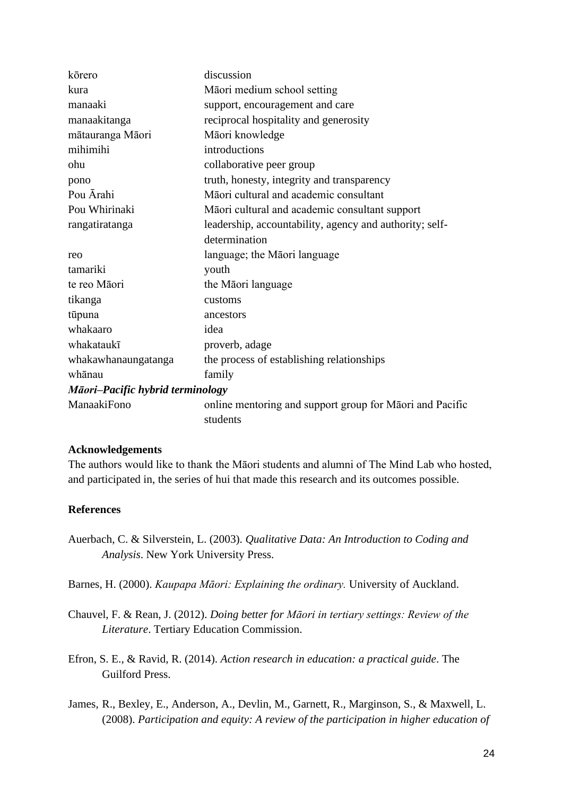| kōrero                           | discussion                                               |  |
|----------------------------------|----------------------------------------------------------|--|
| kura                             | Māori medium school setting                              |  |
| manaaki                          | support, encouragement and care                          |  |
| manaakitanga                     | reciprocal hospitality and generosity                    |  |
| mātauranga Māori                 | Māori knowledge                                          |  |
| mihimihi                         | introductions                                            |  |
| ohu                              | collaborative peer group                                 |  |
| pono                             | truth, honesty, integrity and transparency               |  |
| Pou Ārahi                        | Māori cultural and academic consultant                   |  |
| Pou Whirinaki                    | Māori cultural and academic consultant support           |  |
| rangatiratanga                   | leadership, accountability, agency and authority; self-  |  |
|                                  | determination                                            |  |
| reo                              | language; the Māori language                             |  |
| tamariki                         | youth                                                    |  |
| te reo Māori                     | the Māori language                                       |  |
| tikanga                          | customs                                                  |  |
| tūpuna                           | ancestors                                                |  |
| whakaaro                         | idea                                                     |  |
| whakataukī                       | proverb, adage                                           |  |
| whakawhanaungatanga              | the process of establishing relationships                |  |
| whānau                           | family                                                   |  |
| Māori-Pacific hybrid terminology |                                                          |  |
| ManaakiFono                      | online mentoring and support group for Māori and Pacific |  |
|                                  | students                                                 |  |

#### **Acknowledgements**

The authors would like to thank the Māori students and alumni of The Mind Lab who hosted, and participated in, the series of hui that made this research and its outcomes possible.

#### **References**

Auerbach, C. & Silverstein, L. (2003). *Qualitative Data: An Introduction to Coding and Analysis*. New York University Press.

Barnes, H. (2000). *Kaupapa Māori: Explaining the ordinary.* University of Auckland.

- Chauvel, F. & Rean, J. (2012). *Doing better for Māori in tertiary settings: Review of the Literature*. Tertiary Education Commission.
- Efron, S. E., & Ravid, R. (2014). *Action research in education: a practical guide*. The Guilford Press.
- James, R., Bexley, E., Anderson, A., Devlin, M., Garnett, R., Marginson, S., & Maxwell, L. (2008). *Participation and equity: A review of the participation in higher education of*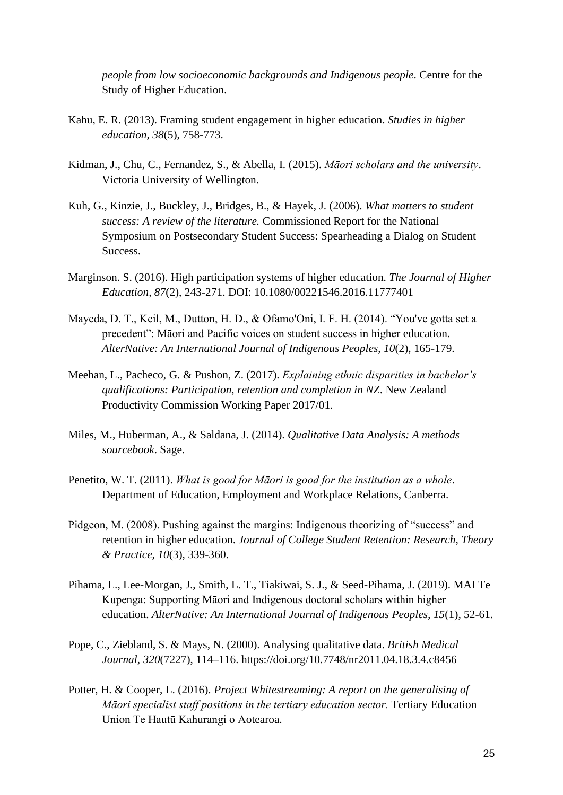*people from low socioeconomic backgrounds and Indigenous people*. Centre for the Study of Higher Education.

- Kahu, E. R. (2013). Framing student engagement in higher education. *Studies in higher education, 38*(5), 758-773.
- Kidman, J., Chu, C., Fernandez, S., & Abella, I. (2015). *Māori scholars and the university*. Victoria University of Wellington.
- Kuh, G., Kinzie, J., Buckley, J., Bridges, B., & Hayek, J. (2006). *What matters to student success: A review of the literature.* Commissioned Report for the National Symposium on Postsecondary Student Success: Spearheading a Dialog on Student Success.
- Marginson. S. (2016). High participation systems of higher education. *The Journal of Higher Education, 87*(2), 243-271. DOI: 10.1080/00221546.2016.11777401
- Mayeda, D. T., Keil, M., Dutton, H. D., & Ofamo'Oni, I. F. H. (2014). "You've gotta set a precedent": Māori and Pacific voices on student success in higher education. *AlterNative: An International Journal of Indigenous Peoples*, *10*(2), 165-179.
- Meehan, L., Pacheco, G. & Pushon, Z. (2017). *Explaining ethnic disparities in bachelor's qualifications: Participation, retention and completion in NZ*. New Zealand Productivity Commission Working Paper 2017/01.
- Miles, M., Huberman, A., & Saldana, J. (2014). *Qualitative Data Analysis: A methods sourcebook*. Sage.
- Penetito, W. T. (2011). *What is good for Māori is good for the institution as a whole*. Department of Education, Employment and Workplace Relations, Canberra.
- Pidgeon, M. (2008). Pushing against the margins: Indigenous theorizing of "success" and retention in higher education. *Journal of College Student Retention: Research, Theory & Practice, 10*(3), 339-360.
- Pihama, L., Lee-Morgan, J., Smith, L. T., Tiakiwai, S. J., & Seed-Pihama, J. (2019). MAI Te Kupenga: Supporting Māori and Indigenous doctoral scholars within higher education. *AlterNative: An International Journal of Indigenous Peoples, 15*(1), 52-61.
- Pope, C., Ziebland, S. & Mays, N. (2000). Analysing qualitative data. *British Medical Journal*, *320*(7227), 114–116.<https://doi.org/10.7748/nr2011.04.18.3.4.c8456>
- Potter, H. & Cooper, L. (2016). *Project Whitestreaming: A report on the generalising of Māori specialist staff positions in the tertiary education sector.* Tertiary Education Union Te Hautū Kahurangi o Aotearoa.